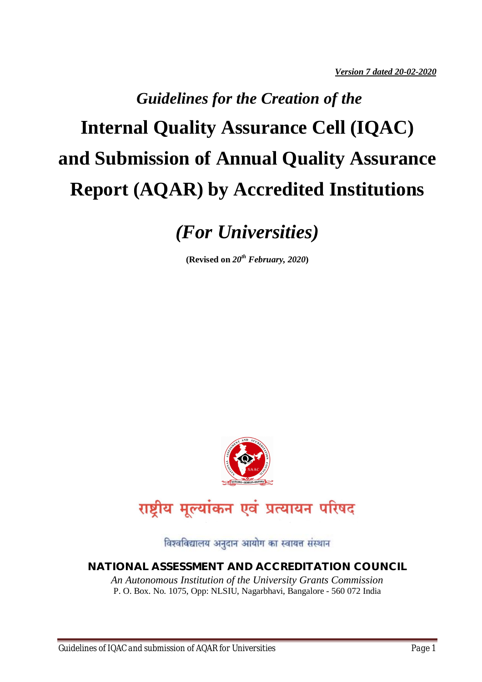# *Guidelines for the Creation of the*  **Internal Quality Assurance Cell (IQAC) and Submission of Annual Quality Assurance Report (AQAR) by Accredited Institutions**

*(For Universities)*

**(Revised on** *20th February, 2020***)**



राष्ट्रीय मूल्यांकन एवं प्रत्यायन परिषद

विश्वविद्यालय अनुदान आयोग का स्वायत्त संस्थान

#### **NATIONAL ASSESSMENT AND ACCREDITATION COUNCIL**

*An Autonomous Institution of the University Grants Commission* P. O. Box. No. 1075, Opp: NLSIU, Nagarbhavi, Bangalore - 560 072 India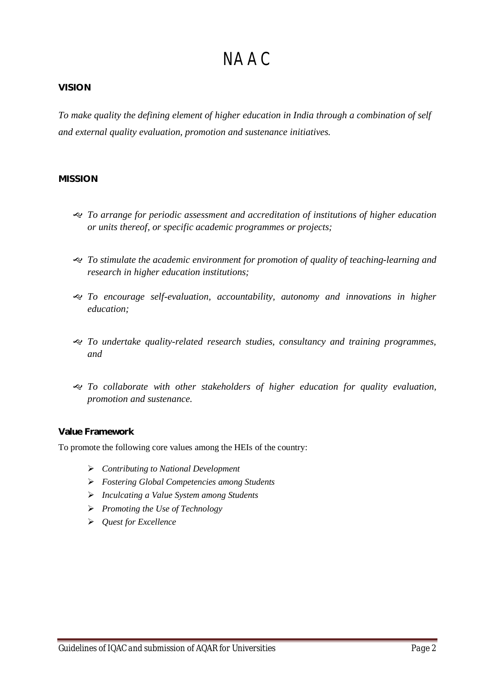# **NAAC**

#### **VISION**

*To make quality the defining element of higher education in India through a combination of self and external quality evaluation, promotion and sustenance initiatives.* 

#### **MISSION**

- *To arrange for periodic assessment and accreditation of institutions of higher education or units thereof, or specific academic programmes or projects;*
- *To stimulate the academic environment for promotion of quality of teaching-learning and research in higher education institutions;*
- *To encourage self-evaluation, accountability, autonomy and innovations in higher education;*
- *To undertake quality-related research studies, consultancy and training programmes, and*
- *To collaborate with other stakeholders of higher education for quality evaluation, promotion and sustenance.*

#### **Value Framework**

To promote the following core values among the HEIs of the country:

- *Contributing to National Development*
- *Fostering Global Competencies among Students*
- *Inculcating a Value System among Students*
- *Promoting the Use of Technology*
- *Quest for Excellence*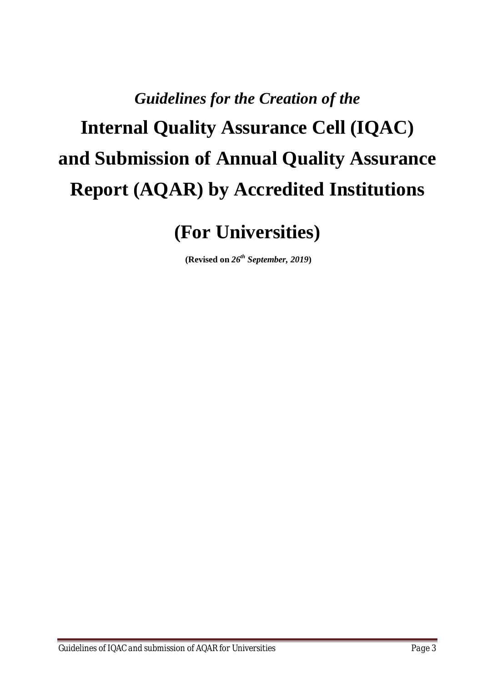# *Guidelines for the Creation of the*  **Internal Quality Assurance Cell (IQAC) and Submission of Annual Quality Assurance Report (AQAR) by Accredited Institutions**

**(For Universities)**

**(Revised on** *26th September, 2019***)**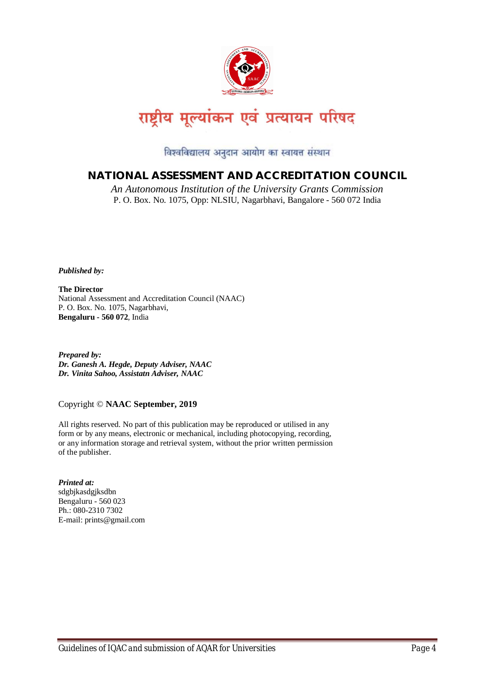

विश्वविद्यालय अनुदान आयोग का स्वायत्त संस्थान

# **NATIONAL ASSESSMENT AND ACCREDITATION COUNCIL**

*An Autonomous Institution of the University Grants Commission* P. O. Box. No. 1075, Opp: NLSIU, Nagarbhavi, Bangalore - 560 072 India

*Published by:*

**The Director** National Assessment and Accreditation Council (NAAC) P. O. Box. No. 1075, Nagarbhavi, **Bengaluru - 560 072**, India

*Prepared by: Dr. Ganesh A. Hegde, Deputy Adviser, NAAC Dr. Vinita Sahoo, Assistatn Adviser, NAAC*

#### Copyright © **NAAC September, 2019**

All rights reserved. No part of this publication may be reproduced or utilised in any form or by any means, electronic or mechanical, including photocopying, recording, or any information storage and retrieval system, without the prior written permission of the publisher.

*Printed at:*  sdgbjkasdgjksdbn Bengaluru - 560 023 Ph.: 080-2310 7302 E-mail: prints@gmail.com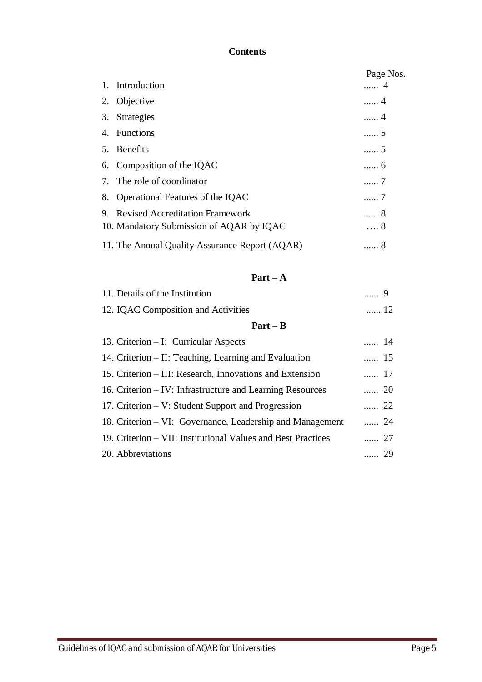### **Contents**

|    |                                                | Page Nos.  |
|----|------------------------------------------------|------------|
| 1. | Introduction                                   | 4          |
|    | 2. Objective                                   | . 4        |
|    | 3. Strategies                                  | . 4        |
|    | 4. Functions                                   | . 5        |
|    | 5. Benefits                                    | . 5        |
|    | 6. Composition of the IQAC                     | . 6        |
|    | 7. The role of coordinator                     | 7          |
|    | 8. Operational Features of the IQAC            | . 7        |
| 9. | <b>Revised Accreditation Framework</b>         | . 8        |
|    | 10. Mandatory Submission of AQAR by IQAC       | $\ldots 8$ |
|    | 11. The Annual Quality Assurance Report (AQAR) | 8          |

# **Part – A**

| 11. Details of the Institution                               |             |  |
|--------------------------------------------------------------|-------------|--|
| 12. IQAC Composition and Activities                          | $\ldots$ 12 |  |
| $Part - B$                                                   |             |  |
| 13. Criterion – I: Curricular Aspects                        | $\ldots$ 14 |  |
| 14. Criterion – II: Teaching, Learning and Evaluation        | $\ldots$ 15 |  |
| 15. Criterion – III: Research, Innovations and Extension     | $\ldots$ 17 |  |
| 16. Criterion – IV: Infrastructure and Learning Resources    | $\cdots$ 20 |  |
| 17. Criterion – V: Student Support and Progression           | $\cdots$ 22 |  |
| 18. Criterion – VI: Governance, Leadership and Management    | $\cdots$ 24 |  |
| 19. Criterion – VII: Institutional Values and Best Practices | $\cdots$ 27 |  |
| 20. Abbreviations                                            | $\cdots$ 29 |  |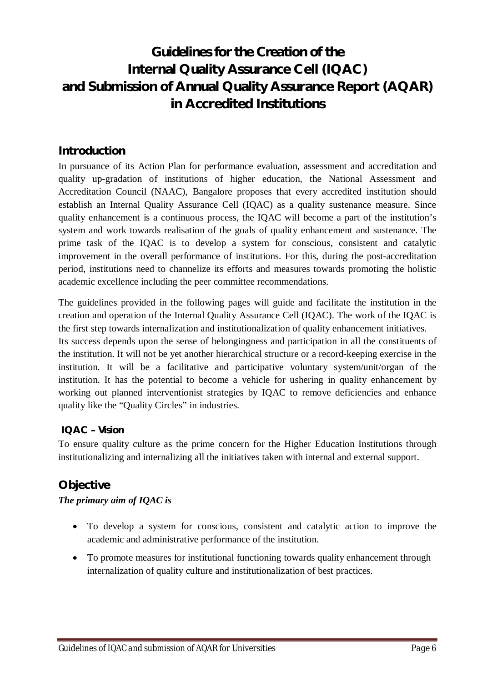# *Guidelines for the Creation of the* **Internal Quality Assurance Cell (IQAC) and Submission of Annual Quality Assurance Report (AQAR) in Accredited Institutions**

# **Introduction**

In pursuance of its Action Plan for performance evaluation, assessment and accreditation and quality up-gradation of institutions of higher education, the National Assessment and Accreditation Council (NAAC), Bangalore proposes that every accredited institution should establish an Internal Quality Assurance Cell (IQAC) as a quality sustenance measure. Since quality enhancement is a continuous process, the IQAC will become a part of the institution's system and work towards realisation of the goals of quality enhancement and sustenance. The prime task of the IQAC is to develop a system for conscious, consistent and catalytic improvement in the overall performance of institutions. For this, during the post-accreditation period, institutions need to channelize its efforts and measures towards promoting the holistic academic excellence including the peer committee recommendations.

The guidelines provided in the following pages will guide and facilitate the institution in the creation and operation of the Internal Quality Assurance Cell (IQAC). The work of the IQAC is the first step towards internalization and institutionalization of quality enhancement initiatives. Its success depends upon the sense of belongingness and participation in all the constituents of the institution. It will not be yet another hierarchical structure or a record-keeping exercise in the

institution. It will be a facilitative and participative voluntary system/unit/organ of the institution. It has the potential to become a vehicle for ushering in quality enhancement by working out planned interventionist strategies by IQAC to remove deficiencies and enhance quality like the "Quality Circles" in industries.

#### **IQAC –** *Vision*

To ensure quality culture as the prime concern for the Higher Education Institutions through institutionalizing and internalizing all the initiatives taken with internal and external support.

# **Objective**

#### *The primary aim of IQAC is*

- To develop a system for conscious, consistent and catalytic action to improve the academic and administrative performance of the institution.
- To promote measures for institutional functioning towards quality enhancement through internalization of quality culture and institutionalization of best practices.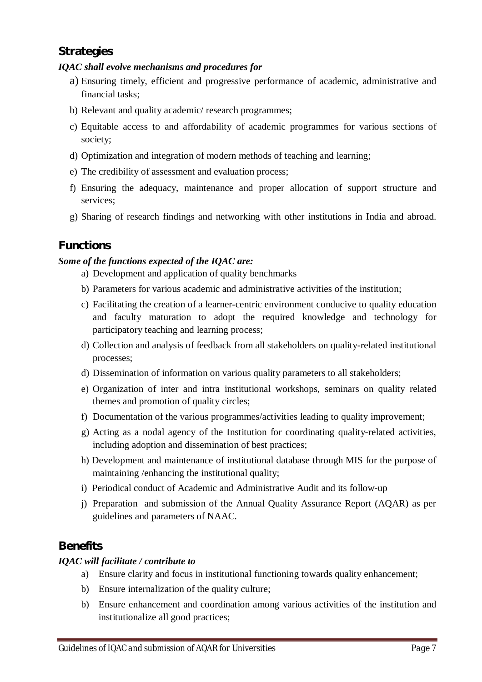# **Strategies**

#### *IQAC shall evolve mechanisms and procedures for*

- a) Ensuring timely, efficient and progressive performance of academic, administrative and financial tasks;
- b) Relevant and quality academic/ research programmes;
- c) Equitable access to and affordability of academic programmes for various sections of society;
- d) Optimization and integration of modern methods of teaching and learning;
- e) The credibility of assessment and evaluation process;
- f) Ensuring the adequacy, maintenance and proper allocation of support structure and services;
- g) Sharing of research findings and networking with other institutions in India and abroad.

# **Functions**

#### *Some of the functions expected of the IQAC are:*

- a) Development and application of quality benchmarks
- b) Parameters for various academic and administrative activities of the institution;
- c) Facilitating the creation of a learner-centric environment conducive to quality education and faculty maturation to adopt the required knowledge and technology for participatory teaching and learning process;
- d) Collection and analysis of feedback from all stakeholders on quality-related institutional processes;
- d) Dissemination of information on various quality parameters to all stakeholders;
- e) Organization of inter and intra institutional workshops, seminars on quality related themes and promotion of quality circles;
- f) Documentation of the various programmes/activities leading to quality improvement;
- g) Acting as a nodal agency of the Institution for coordinating quality-related activities, including adoption and dissemination of best practices;
- h) Development and maintenance of institutional database through MIS for the purpose of maintaining /enhancing the institutional quality;
- i) Periodical conduct of Academic and Administrative Audit and its follow-up
- j) Preparation and submission of the Annual Quality Assurance Report (AQAR) as per guidelines and parameters of NAAC.

# **Benefits**

#### *IQAC will facilitate / contribute to*

- a) Ensure clarity and focus in institutional functioning towards quality enhancement;
- b) Ensure internalization of the quality culture;
- b) Ensure enhancement and coordination among various activities of the institution and institutionalize all good practices;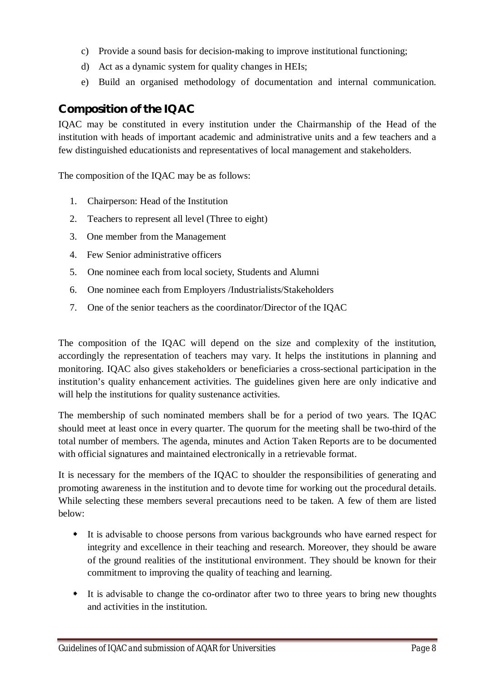- c) Provide a sound basis for decision-making to improve institutional functioning;
- d) Act as a dynamic system for quality changes in HEIs;
- e) Build an organised methodology of documentation and internal communication.

# **Composition of the IQAC**

IQAC may be constituted in every institution under the Chairmanship of the Head of the institution with heads of important academic and administrative units and a few teachers and a few distinguished educationists and representatives of local management and stakeholders.

The composition of the IQAC may be as follows:

- 1. Chairperson: Head of the Institution
- 2. Teachers to represent all level (Three to eight)
- 3. One member from the Management
- 4. Few Senior administrative officers
- 5. One nominee each from local society, Students and Alumni
- 6. One nominee each from Employers /Industrialists/Stakeholders
- 7. One of the senior teachers as the coordinator/Director of the IQAC

The composition of the IQAC will depend on the size and complexity of the institution, accordingly the representation of teachers may vary. It helps the institutions in planning and monitoring. IQAC also gives stakeholders or beneficiaries a cross-sectional participation in the institution's quality enhancement activities. The guidelines given here are only indicative and will help the institutions for quality sustenance activities.

The membership of such nominated members shall be for a period of two years. The IQAC should meet at least once in every quarter. The quorum for the meeting shall be two-third of the total number of members. The agenda, minutes and Action Taken Reports are to be documented with official signatures and maintained electronically in a retrievable format.

It is necessary for the members of the IQAC to shoulder the responsibilities of generating and promoting awareness in the institution and to devote time for working out the procedural details. While selecting these members several precautions need to be taken. A few of them are listed below:

- It is advisable to choose persons from various backgrounds who have earned respect for integrity and excellence in their teaching and research. Moreover, they should be aware of the ground realities of the institutional environment. They should be known for their commitment to improving the quality of teaching and learning.
- It is advisable to change the co-ordinator after two to three years to bring new thoughts and activities in the institution.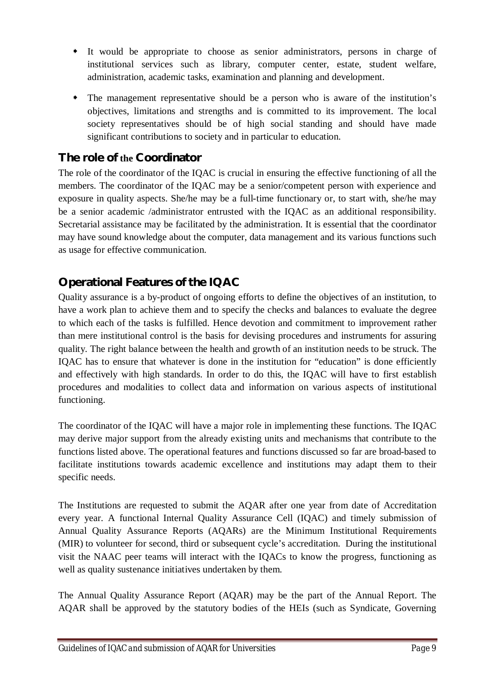- It would be appropriate to choose as senior administrators, persons in charge of institutional services such as library, computer center, estate, student welfare, administration, academic tasks, examination and planning and development.
- The management representative should be a person who is aware of the institution's objectives, limitations and strengths and is committed to its improvement. The local society representatives should be of high social standing and should have made significant contributions to society and in particular to education.

# **The role of the Coordinator**

The role of the coordinator of the IQAC is crucial in ensuring the effective functioning of all the members. The coordinator of the IQAC may be a senior/competent person with experience and exposure in quality aspects. She/he may be a full-time functionary or, to start with, she/he may be a senior academic /administrator entrusted with the IQAC as an additional responsibility. Secretarial assistance may be facilitated by the administration. It is essential that the coordinator may have sound knowledge about the computer, data management and its various functions such as usage for effective communication.

# **Operational Features of the IQAC**

Quality assurance is a by-product of ongoing efforts to define the objectives of an institution, to have a work plan to achieve them and to specify the checks and balances to evaluate the degree to which each of the tasks is fulfilled. Hence devotion and commitment to improvement rather than mere institutional control is the basis for devising procedures and instruments for assuring quality. The right balance between the health and growth of an institution needs to be struck. The IQAC has to ensure that whatever is done in the institution for "education" is done efficiently and effectively with high standards. In order to do this, the IQAC will have to first establish procedures and modalities to collect data and information on various aspects of institutional functioning.

The coordinator of the IQAC will have a major role in implementing these functions. The IQAC may derive major support from the already existing units and mechanisms that contribute to the functions listed above. The operational features and functions discussed so far are broad-based to facilitate institutions towards academic excellence and institutions may adapt them to their specific needs.

The Institutions are requested to submit the AQAR after one year from date of Accreditation every year. A functional Internal Quality Assurance Cell (IQAC) and timely submission of Annual Quality Assurance Reports (AQARs) are the Minimum Institutional Requirements (MIR) to volunteer for second, third or subsequent cycle's accreditation. During the institutional visit the NAAC peer teams will interact with the IQACs to know the progress, functioning as well as quality sustenance initiatives undertaken by them.

The Annual Quality Assurance Report (AQAR) may be the part of the Annual Report. The AQAR shall be approved by the statutory bodies of the HEIs (such as Syndicate, Governing